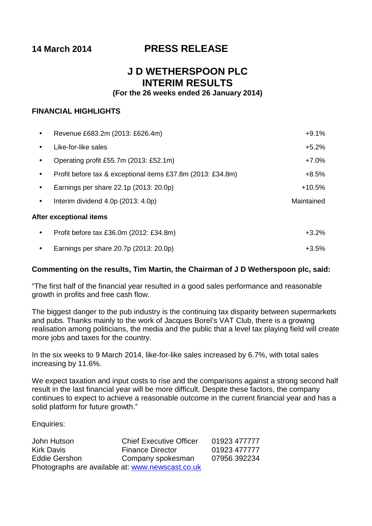# **14 March 2014 PRESS RELEASE**

# **J D WETHERSPOON PLC INTERIM RESULTS**

# **(For the 26 weeks ended 26 January 2014)**

# **FINANCIAL HIGHLIGHTS**

|           | Revenue £683.2m (2013: £626.4m)                             | $+9.1%$    |
|-----------|-------------------------------------------------------------|------------|
|           | Like-for-like sales                                         | $+5.2%$    |
| $\bullet$ | Operating profit £55.7m (2013: £52.1m)                      | $+7.0\%$   |
|           | Profit before tax & exceptional items £37.8m (2013: £34.8m) | $+8.5%$    |
|           | Earnings per share 22.1p (2013: 20.0p)                      | $+10.5%$   |
| $\bullet$ | Interim dividend $4.0p$ (2013: $4.0p$ )                     | Maintained |
|           | After exceptional items                                     |            |
| ٠         | Profit before tax £36.0m (2012: £34.8m)                     | $+3.2%$    |

Earnings per share 20.7p (2013: 20.0p) +3.5%

# **Commenting on the results, Tim Martin, the Chairman of J D Wetherspoon plc, said:**

"The first half of the financial year resulted in a good sales performance and reasonable growth in profits and free cash flow.

The biggest danger to the pub industry is the continuing tax disparity between supermarkets and pubs. Thanks mainly to the work of Jacques Borel's VAT Club, there is a growing realisation among politicians, the media and the public that a level tax playing field will create more jobs and taxes for the country.

In the six weeks to 9 March 2014, like-for-like sales increased by 6.7%, with total sales increasing by 11.6%.

We expect taxation and input costs to rise and the comparisons against a strong second half result in the last financial year will be more difficult. Despite these factors, the company continues to expect to achieve a reasonable outcome in the current financial year and has a solid platform for future growth."

Enquiries:

| John Hutson                                      | <b>Chief Executive Officer</b> | 01923 477777 |
|--------------------------------------------------|--------------------------------|--------------|
| <b>Kirk Davis</b>                                | <b>Finance Director</b>        | 01923 477777 |
| Eddie Gershon                                    | Company spokesman              | 07956 392234 |
| Photographs are available at: www.newscast.co.uk |                                |              |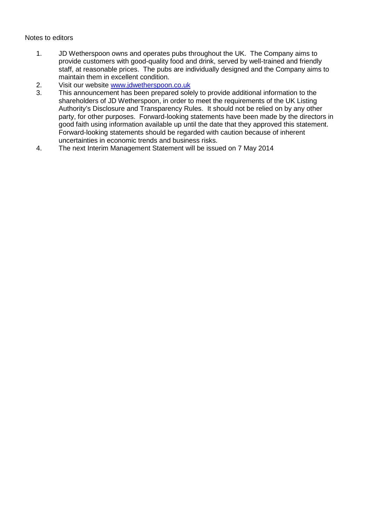# Notes to editors

- 1. JD Wetherspoon owns and operates pubs throughout the UK. The Company aims to provide customers with good-quality food and drink, served by well-trained and friendly staff, at reasonable prices. The pubs are individually designed and the Company aims to maintain them in excellent condition.
- 2. Visit our website [www.jdwetherspoon.co.uk](http://www.jdwetherspoon.co.uk/)
- 3. This announcement has been prepared solely to provide additional information to the shareholders of JD Wetherspoon, in order to meet the requirements of the UK Listing Authority's Disclosure and Transparency Rules. It should not be relied on by any other party, for other purposes. Forward-looking statements have been made by the directors in good faith using information available up until the date that they approved this statement. Forward-looking statements should be regarded with caution because of inherent uncertainties in economic trends and business risks.
- 4. The next Interim Management Statement will be issued on 7 May 2014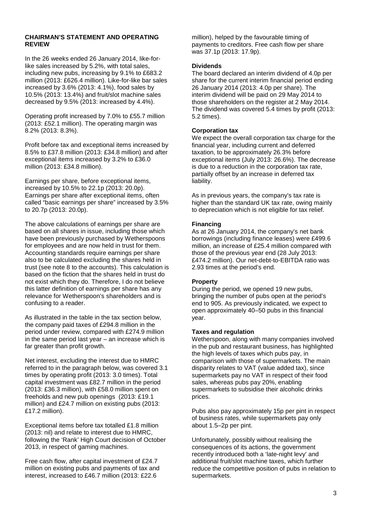#### **CHAIRMAN'S STATEMENT AND OPERATING REVIEW**

In the 26 weeks ended 26 January 2014, like-forlike sales increased by 5.2%, with total sales, including new pubs, increasing by 9.1% to £683.2 million (2013: £626.4 million). Like-for-like bar sales increased by 3.6% (2013: 4.1%), food sales by 10.5% (2013: 13.4%) and fruit/slot machine sales decreased by 9.5% (2013: increased by 4.4%).

Operating profit increased by 7.0% to £55.7 million (2013: £52.1 million). The operating margin was 8.2% (2013: 8.3%).

Profit before tax and exceptional items increased by 8.5% to £37.8 million (2013: £34.8 million) and after exceptional items increased by 3.2% to £36.0 million (2013: £34.8 million).

Earnings per share, before exceptional items, increased by 10.5% to 22.1p (2013: 20.0p). Earnings per share after exceptional items, often called "basic earnings per share" increased by 3.5% to 20.7p (2013: 20.0p).

The above calculations of earnings per share are based on all shares in issue, including those which have been previously purchased by Wetherspoons for employees and are now held in trust for them. Accounting standards require earnings per share also to be calculated excluding the shares held in trust (see note 8 to the accounts). This calculation is based on the fiction that the shares held in trust do not exist which they do. Therefore, I do not believe this latter definition of earnings per share has any relevance for Wetherspoon's shareholders and is confusing to a reader.

As illustrated in the table in the tax section below, the company paid taxes of £294.8 million in the period under review, compared with £274.9 million in the same period last year – an increase which is far greater than profit growth.

Net interest, excluding the interest due to HMRC referred to in the paragraph below, was covered 3.1 times by operating profit (2013: 3.0 times). Total capital investment was £82.7 million in the period (2013: £36.3 million), with £58.0 million spent on freeholds and new pub openings (2013: £19.1 million) and £24.7 million on existing pubs (2013: £17.2 million).

Exceptional items before tax totalled £1.8 million (2013: nil) and relate to interest due to HMRC, following the 'Rank' High Court decision of October 2013, in respect of gaming machines.

Free cash flow, after capital investment of £24.7 million on existing pubs and payments of tax and interest, increased to £46.7 million (2013: £22.6

million), helped by the favourable timing of payments to creditors. Free cash flow per share was 37.1p (2013: 17.9p).

#### **Dividends**

The board declared an interim dividend of 4.0p per share for the current interim financial period ending 26 January 2014 (2013: 4.0p per share). The interim dividend will be paid on 29 May 2014 to those shareholders on the register at 2 May 2014. The dividend was covered 5.4 times by profit (2013: 5.2 times).

#### **Corporation tax**

We expect the overall corporation tax charge for the financial year, including current and deferred taxation, to be approximately 26.3% before exceptional items (July 2013: 26.6%). The decrease is due to a reduction in the corporation tax rate, partially offset by an increase in deferred tax liability.

As in previous years, the company's tax rate is higher than the standard UK tax rate, owing mainly to depreciation which is not eligible for tax relief.

#### **Financing**

As at 26 January 2014, the company's net bank borrowings (including finance leases) were £499.6 million, an increase of £25.4 million compared with those of the previous year end (28 July 2013: £474.2 million). Our net-debt-to-EBITDA ratio was 2.93 times at the period's end.

#### **Property**

During the period, we opened 19 new pubs, bringing the number of pubs open at the period's end to 905. As previously indicated, we expect to open approximately 40–50 pubs in this financial year.

#### **Taxes and regulation**

Wetherspoon, along with many companies involved in the pub and restaurant business, has highlighted the high levels of taxes which pubs pay, in comparison with those of supermarkets. The main disparity relates to VAT (value added tax), since supermarkets pay no VAT in respect of their food sales, whereas pubs pay 20%, enabling supermarkets to subsidise their alcoholic drinks prices.

Pubs also pay approximately 15p per pint in respect of business rates, while supermarkets pay only about 1.5–2p per pint.

Unfortunately, possibly without realising the consequences of its actions, the government recently introduced both a 'late-night levy' and additional fruit/slot machine taxes, which further reduce the competitive position of pubs in relation to supermarkets.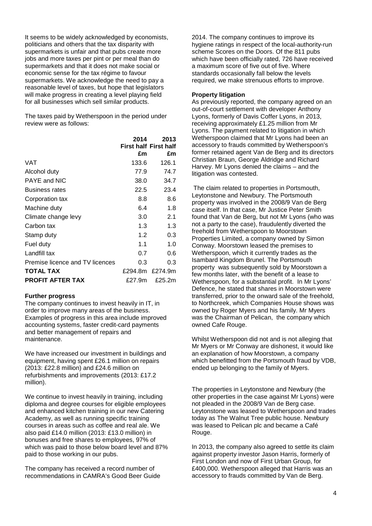It seems to be widely acknowledged by economists, politicians and others that the tax disparity with supermarkets is unfair and that pubs create more jobs and more taxes per pint or per meal than do supermarkets and that it does not make social or economic sense for the tax régime to favour supermarkets. We acknowledge the need to pay a reasonable level of taxes, but hope that legislators will make progress in creating a level playing field for all businesses which sell similar products.

The taxes paid by Wetherspoon in the period under review were as follows:

|                                 | 2014    | 2013                         |
|---------------------------------|---------|------------------------------|
|                                 |         | <b>First half First half</b> |
|                                 | £m      | £m                           |
| VAT                             | 133.6   | 126.1                        |
| Alcohol duty                    | 77.9    | 74.7                         |
| PAYE and NIC                    | 38.0    | 34.7                         |
| <b>Business rates</b>           | 22.5    | 23.4                         |
| Corporation tax                 | 8.8     | 8.6                          |
| Machine duty                    | 6.4     | 1.8                          |
| Climate change levy             | 3.0     | 2.1                          |
| Carbon tax                      | 1.3     | 1.3                          |
| Stamp duty                      | 1.2     | 0.3                          |
| Fuel duty                       | 1.1     | 1.0                          |
| Landfill tax                    | 0.7     | 0.6                          |
| Premise licence and TV licences | 0.3     | 0.3                          |
| <b>TOTAL TAX</b>                | £294.8m | £274.9m                      |
| <b>PROFIT AFTER TAX</b>         | £27.9m  | £25.2m                       |

#### **Further progress**

The company continues to invest heavily in IT, in order to improve many areas of the business. Examples of progress in this area include improved accounting systems, faster credit-card payments and better management of repairs and maintenance.

We have increased our investment in buildings and equipment, having spent £26.1 million on repairs (2013: £22.8 million) and £24.6 million on refurbishments and improvements (2013: £17.2 million).

We continue to invest heavily in training, including diploma and degree courses for eligible employees and enhanced kitchen training in our new Catering Academy, as well as running specific training courses in areas such as coffee and real ale. We also paid £14.0 million (2013: £13.0 million) in bonuses and free shares to employees, 97% of which was paid to those below board level and 87% paid to those working in our pubs.

The company has received a record number of recommendations in CAMRA's Good Beer Guide

2014. The company continues to improve its hygiene ratings in respect of the local-authority-run scheme Scores on the Doors. Of the 811 pubs which have been officially rated, 726 have received a maximum score of five out of five. Where standards occasionally fall below the levels required, we make strenuous efforts to improve.

#### **Property litigation**

As previously reported, the company agreed on an out-of-court settlement with developer Anthony Lyons, formerly of Davis Coffer Lyons, in 2013, receiving approximately £1.25 million from Mr Lyons. The payment related to litigation in which Wetherspoon claimed that Mr Lyons had been an accessory to frauds committed by Wetherspoon's former retained agent Van de Berg and its directors Christian Braun, George Aldridge and Richard Harvey. Mr Lyons denied the claims – and the litigation was contested.

The claim related to properties in Portsmouth, Leytonstone and Newbury. The Portsmouth property was involved in the 2008/9 Van de Berg case itself. In that case, Mr Justice Peter Smith found that Van de Berg, but not Mr Lyons (who was not a party to the case), fraudulently diverted the freehold from Wetherspoon to Moorstown Properties Limited, a company owned by Simon Conway. Moorstown leased the premises to Wetherspoon, which it currently trades as the Isambard Kingdom Brunel. The Portsmouth property was subsequently sold by Moorstown a few months later, with the benefit of a lease to Wetherspoon, for a substantial profit. In Mr Lyons' Defence, he stated that shares in Moorstown were transferred, prior to the onward sale of the freehold, to Northcreek, which Companies House shows was owned by Roger Myers and his family. Mr Myers was the Chairman of Pelican, the company which owned Cafe Rouge.

Whilst Wetherspoon did not and is not alleging that Mr Myers or Mr Conway are dishonest, it would like an explanation of how Moorstown, a company which benefitted from the Portsmouth fraud by VDB. ended up belonging to the family of Myers.

The properties in Leytonstone and Newbury (the other properties in the case against Mr Lyons) were not pleaded in the 2008/9 Van de Berg case. Leytonstone was leased to Wetherspoon and trades today as The Walnut Tree public house. Newbury was leased to Pelican plc and became a Café Rouge.

In 2013, the company also agreed to settle its claim against property investor Jason Harris, formerly of First London and now of First Urban Group, for £400,000. Wetherspoon alleged that Harris was an accessory to frauds committed by Van de Berg.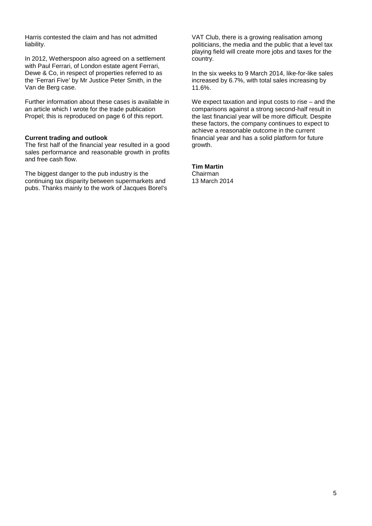Harris contested the claim and has not admitted liability.

In 2012, Wetherspoon also agreed on a settlement with Paul Ferrari, of London estate agent Ferrari, Dewe & Co, in respect of properties referred to as the 'Ferrari Five' by Mr Justice Peter Smith, in the Van de Berg case.

Further information about these cases is available in an article which I wrote for the trade publication Propel; this is reproduced on page 6 of this report.

#### **Current trading and outlook**

The first half of the financial year resulted in a good sales performance and reasonable growth in profits and free cash flow.

The biggest danger to the pub industry is the continuing tax disparity between supermarkets and pubs. Thanks mainly to the work of Jacques Borel's VAT Club, there is a growing realisation among politicians, the media and the public that a level tax playing field will create more jobs and taxes for the country.

In the six weeks to 9 March 2014, like-for-like sales increased by 6.7%, with total sales increasing by 11.6%.

We expect taxation and input costs to rise – and the comparisons against a strong second-half result in the last financial year will be more difficult. Despite these factors, the company continues to expect to achieve a reasonable outcome in the current financial year and has a solid platform for future growth.

#### **Tim Martin** Chairman 13 March 2014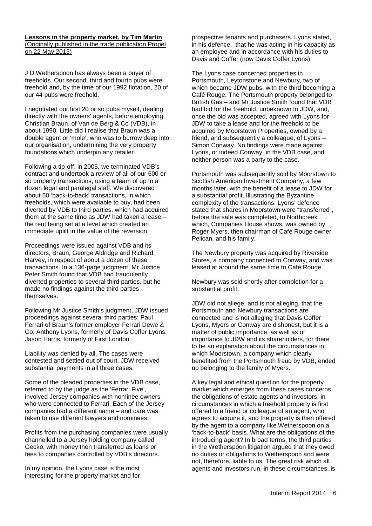#### **Lessons in the property market, by Tim Martin**  (Originally published in the trade publication Propel on 22 May 2013)

J D Wetherspoon has always been a buyer of freeholds. Our second, third and fourth pubs were freehold and, by the time of our 1992 flotation, 20 of our 44 pubs were freehold.

I negotiated our first 20 or so pubs myself, dealing directly with the owners' agents, before employing Christian Braun, of Van de Berg & Co (VDB), in about 1990. Little did I realise that Braun was a double agent or 'mole', who was to burrow deep into our organisation, undermining the very property foundations which underpin any retailer.

Following a tip-off, in 2005, we terminated VDB's contract and undertook a review of all of our 600 or so property transactions, using a team of up to a dozen legal and paralegal staff. We discovered about 50 'back-to-back' transactions, in which freeholds, which were available to buy, had been diverted by VDB to third parties, which had acquired them at the same time as JDW had taken a lease – the rent being set at a level which created an immediate uplift in the value of the reversion.

Proceedings were issued against VDB and its directors, Braun, George Aldridge and Richard Harvey, in respect of about a dozen of these transactions. In a 136-page judgment, Mr Justice Peter Smith found that VDB had fraudulently diverted properties to several third parties, but he made no findings against the third parties themselves.

Following Mr Justice Smith's judgment, JDW issued proceedings against several third parties: Paul Ferrari of Braun's former employer Ferrari Dewe & Co; Anthony Lyons, formerly of Davis Coffer Lyons; Jason Harris, formerly of First London.

Liability was denied by all. The cases were contested and settled out of court. JDW received substantial payments in all three cases.

Some of the pleaded properties in the VDB case, referred to by the judge as the 'Ferrari Five', involved Jersey companies with nominee owners who were connected to Ferrari. Each of the Jersey companies had a different name – and care was taken to use different lawyers and nominees.

Profits from the purchasing companies were usually channelled to a Jersey holding company called Gecko, with money then transferred as loans or fees to companies controlled by VDB's directors.

In my opinion, the Lyons case is the most interesting for the property market and for prospective tenants and purchasers. Lyons stated, in his defence, that he was acting in his capacity as an employee and in accordance with his duties to Davis and Coffer (now Davis Coffer Lyons).

The Lyons case concerned properties in Portsmouth, Leytonstone and Newbury, two of which became JDW pubs, with the third becoming a Café Rouge. The Portsmouth property belonged to British Gas – and Mr Justice Smith found that VDB had bid for the freehold, unbeknown to JDW, and, once the bid was accepted, agreed with Lyons for JDW to take a lease and for the freehold to be acquired by Moorstown Properties, owned by a friend, and subsequently a colleague, of Lyons – Simon Conway. No findings were made against Lyons, or indeed Conway, in the VDB case, and neither person was a party to the case.

Portsmouth was subsequently sold by Moorstown to Scottish American Investment Company, a few months later, with the benefit of a lease to JDW for a substantial profit. Illustrating the Byzantine complexity of the transactions, Lyons' defence stated that shares in Moorstown were "transferred", before the sale was completed, to Northcreek which, Companies House shows, was owned by Roger Myers, then chairman of Café Rouge owner Pelican, and his family.

The Newbury property was acquired by Riverside Stores, a company connected to Conway, and was leased at around the same time to Café Rouge.

Newbury was sold shortly after completion for a substantial profit.

JDW did not allege, and is not alleging, that the Portsmouth and Newbury transactions are connected and is not alleging that Davis Coffer Lyons, Myers or Conway are dishonest, but it is a matter of public importance, as well as of importance to JDW and its shareholders, for there to be an explanation about the circumstances in which Moorstown, a company which clearly benefited from the Portsmouth fraud by VDB, ended up belonging to the family of Myers.

A key legal and ethical question for the property market which emerges from these cases concerns the obligations of estate agents and investors, in circumstances in which a freehold property is first offered to a friend or colleague of an agent, who agrees to acquire it, and the property is then offered by the agent to a company like Wetherspoon on a 'back-to-back' basis. What are the obligations of the introducing agent? In broad terms, the third parties in the Wetherspoon litigation argued that they owed no duties or obligations to Wetherspoon and were not, therefore, liable to us. The great risk which all agents and investors run, in these circumstances, is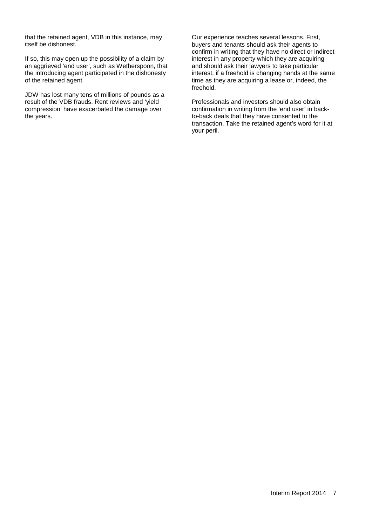that the retained agent, VDB in this instance, may itself be dishonest.

If so, this may open up the possibility of a claim by an aggrieved 'end user', such as Wetherspoon, that the introducing agent participated in the dishonesty of the retained agent.

JDW has lost many tens of millions of pounds as a result of the VDB frauds. Rent reviews and 'yield compression' have exacerbated the damage over the years.

Our experience teaches several lessons. First, buyers and tenants should ask their agents to confirm in writing that they have no direct or indirect interest in any property which they are acquiring and should ask their lawyers to take particular interest, if a freehold is changing hands at the same time as they are acquiring a lease or, indeed, the freehold.

Professionals and investors should also obtain confirmation in writing from the 'end user' in backto-back deals that they have consented to the transaction. Take the retained agent's word for it at your peril.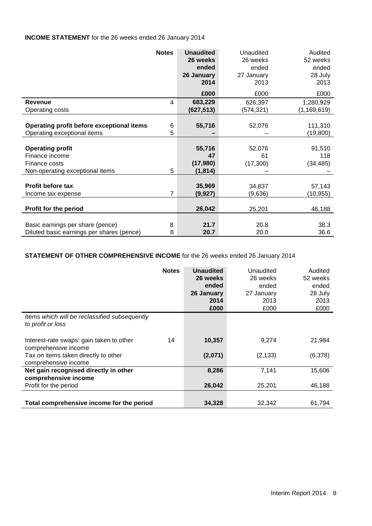# **INCOME STATEMENT** for the 26 weeks ended 26 January 2014

|                                                                                               | <b>Notes</b>   | <b>Unaudited</b><br>26 weeks<br>ended<br>26 January<br>2014 | Unaudited<br>26 weeks<br>ended<br>27 January<br>2013 | Audited<br>52 weeks<br>ended<br>28 July<br>2013 |
|-----------------------------------------------------------------------------------------------|----------------|-------------------------------------------------------------|------------------------------------------------------|-------------------------------------------------|
|                                                                                               |                | £000                                                        | £000                                                 | £000                                            |
| <b>Revenue</b><br>Operating costs                                                             | 4              | 683,229<br>(627, 513)                                       | 626,397<br>(574,321)                                 | 1,280,929<br>(1, 169, 619)                      |
| Operating profit before exceptional items<br>Operating exceptional items                      | 6<br>5         | 55,716                                                      | 52,076                                               | 111,310<br>(19, 800)                            |
| <b>Operating profit</b><br>Finance income<br>Finance costs<br>Non-operating exceptional items | 5              | 55,716<br>47<br>(17,980)<br>(1,814)                         | 52,076<br>61<br>(17,300)                             | 91,510<br>118<br>(34, 485)                      |
| Profit before tax<br>Income tax expense                                                       | $\overline{7}$ | 35,969<br>(9,927)                                           | 34,837<br>(9,636)                                    | 57,143<br>(10,955)                              |
| Profit for the period                                                                         |                | 26,042                                                      | 25,201                                               | 46,188                                          |
| Basic earnings per share (pence)<br>Diluted basic earnings per shares (pence)                 | 8<br>8         | 21.7<br>20.7                                                | 20.8<br>20.0                                         | 38.3<br>36.6                                    |

# **STATEMENT OF OTHER COMPREHENSIVE INCOME** for the 26 weeks ended 26 January 2014

|                                                                    | <b>Notes</b> | <b>Unaudited</b><br>26 weeks<br>ended<br>26 January<br>2014<br>£000 | Unaudited<br>26 weeks<br>ended<br>27 January<br>2013<br>£000 | Audited<br>52 weeks<br>ended<br>28 July<br>2013<br>£000 |
|--------------------------------------------------------------------|--------------|---------------------------------------------------------------------|--------------------------------------------------------------|---------------------------------------------------------|
| Items which will be reclassified subsequently<br>to profit or loss |              |                                                                     |                                                              |                                                         |
| Interest-rate swaps: gain taken to other<br>comprehensive income   | 14           | 10,357                                                              | 9,274                                                        | 21,984                                                  |
| Tax on items taken directly to other<br>comprehensive income       |              | (2,071)                                                             | (2, 133)                                                     | (6,378)                                                 |
| Net gain recognised directly in other<br>comprehensive income      |              | 8,286                                                               | 7,141                                                        | 15,606                                                  |
| Profit for the period                                              |              | 26,042                                                              | 25,201                                                       | 46,188                                                  |
| Total comprehensive income for the period                          |              | 34,328                                                              | 32,342                                                       | 61,794                                                  |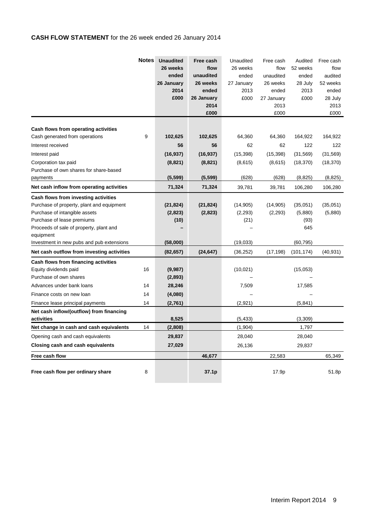# **CASH FLOW STATEMENT** for the 26 week ended 26 January 2014

|                                                                                                                                                                                                          | <b>Notes</b> | <b>Unaudited</b><br>26 weeks<br>ended<br>26 January<br>2014<br>£000 | Free cash<br>flow<br>unaudited<br>26 weeks<br>ended<br>26 January<br>2014<br>£000 | Unaudited<br>26 weeks<br>ended<br>27 January<br>2013<br>£000 | Free cash<br>flow<br>unaudited<br>26 weeks<br>ended<br>27 January<br>2013<br>£000 | Audited<br>52 weeks<br>ended<br>28 July<br>2013<br>£000 | Free cash<br>flow<br>audited<br>52 weeks<br>ended<br>28 July<br>2013<br>£000 |
|----------------------------------------------------------------------------------------------------------------------------------------------------------------------------------------------------------|--------------|---------------------------------------------------------------------|-----------------------------------------------------------------------------------|--------------------------------------------------------------|-----------------------------------------------------------------------------------|---------------------------------------------------------|------------------------------------------------------------------------------|
| Cash flows from operating activities                                                                                                                                                                     |              |                                                                     |                                                                                   |                                                              |                                                                                   |                                                         |                                                                              |
| Cash generated from operations                                                                                                                                                                           | 9            | 102,625                                                             | 102,625                                                                           | 64,360                                                       | 64,360                                                                            | 164,922                                                 | 164,922                                                                      |
| Interest received                                                                                                                                                                                        |              | 56                                                                  | 56                                                                                | 62                                                           | 62                                                                                | 122                                                     | 122                                                                          |
| Interest paid                                                                                                                                                                                            |              | (16, 937)                                                           | (16, 937)                                                                         | (15, 398)                                                    | (15, 398)                                                                         | (31, 569)                                               | (31, 569)                                                                    |
| Corporation tax paid                                                                                                                                                                                     |              | (8,821)                                                             | (8, 821)                                                                          | (8,615)                                                      | (8,615)                                                                           | (18, 370)                                               | (18, 370)                                                                    |
| Purchase of own shares for share-based                                                                                                                                                                   |              |                                                                     |                                                                                   |                                                              |                                                                                   |                                                         |                                                                              |
| payments                                                                                                                                                                                                 |              | (5, 599)                                                            | (5, 599)                                                                          | (628)                                                        | (628)                                                                             | (8, 825)                                                | (8,825)                                                                      |
| Net cash inflow from operating activities                                                                                                                                                                |              | 71,324                                                              | 71,324                                                                            | 39,781                                                       | 39,781                                                                            | 106,280                                                 | 106,280                                                                      |
| Cash flows from investing activities<br>Purchase of property, plant and equipment<br>Purchase of intangible assets<br>Purchase of lease premiums<br>Proceeds of sale of property, plant and<br>equipment |              | (21, 824)<br>(2,823)<br>(10)                                        | (21, 824)<br>(2,823)                                                              | (14, 905)<br>(2, 293)<br>(21)                                | (14, 905)<br>(2,293)                                                              | (35,051)<br>(5,880)<br>(93)<br>645                      | (35,051)<br>(5,880)                                                          |
| Investment in new pubs and pub extensions                                                                                                                                                                |              | (58,000)                                                            |                                                                                   | (19,033)                                                     |                                                                                   | (60, 795)                                               |                                                                              |
| Net cash outflow from investing activities                                                                                                                                                               |              | (82, 657)                                                           | (24, 647)                                                                         | (36, 252)                                                    | (17, 198)                                                                         | (101, 174)                                              | (40, 931)                                                                    |
| Cash flows from financing activities<br>Equity dividends paid<br>Purchase of own shares<br>Advances under bank loans                                                                                     | 16<br>14     | (9,987)<br>(2,893)<br>28,246                                        |                                                                                   | (10, 021)<br>7,509                                           |                                                                                   | (15,053)<br>17,585                                      |                                                                              |
| Finance costs on new loan                                                                                                                                                                                | 14           | (4,080)                                                             |                                                                                   |                                                              |                                                                                   |                                                         |                                                                              |
| Finance lease principal payments<br>Net cash inflow/(outflow) from financing<br>activities                                                                                                               | 14           | (2,761)<br>8,525                                                    |                                                                                   | (2,921)<br>(5, 433)                                          |                                                                                   | (5, 841)<br>(3,309)                                     |                                                                              |
| Net change in cash and cash equivalents                                                                                                                                                                  | 14           | (2,808)                                                             |                                                                                   | (1,904)                                                      |                                                                                   | 1,797                                                   |                                                                              |
| Opening cash and cash equivalents                                                                                                                                                                        |              | 29,837                                                              |                                                                                   | 28,040                                                       |                                                                                   | 28,040                                                  |                                                                              |
| Closing cash and cash equivalents                                                                                                                                                                        |              | 27,029                                                              |                                                                                   | 26,136                                                       |                                                                                   | 29,837                                                  |                                                                              |
| Free cash flow                                                                                                                                                                                           |              |                                                                     | 46,677                                                                            |                                                              | 22,583                                                                            |                                                         | 65,349                                                                       |
| Free cash flow per ordinary share                                                                                                                                                                        | 8            |                                                                     | 37.1p                                                                             |                                                              | 17.9p                                                                             |                                                         | 51.8p                                                                        |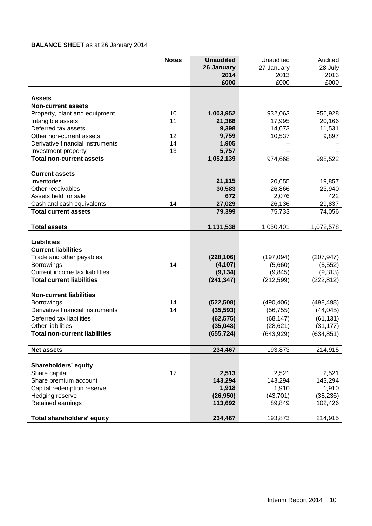# **BALANCE SHEET** as at 26 January 2014

|                                      | <b>Notes</b> | <b>Unaudited</b><br>26 January | Unaudited<br>27 January | Audited<br>28 July |
|--------------------------------------|--------------|--------------------------------|-------------------------|--------------------|
|                                      |              | 2014<br>£000                   | 2013<br>£000            | 2013<br>£000       |
|                                      |              |                                |                         |                    |
| <b>Assets</b>                        |              |                                |                         |                    |
| <b>Non-current assets</b>            |              |                                |                         |                    |
| Property, plant and equipment        | 10           | 1,003,952                      | 932,063                 | 956,928            |
| Intangible assets                    | 11           | 21,368                         | 17,995                  | 20,166             |
| Deferred tax assets                  |              | 9,398                          | 14,073                  | 11,531             |
| Other non-current assets             | 12           | 9,759                          | 10,537                  | 9,897              |
| Derivative financial instruments     | 14           | 1,905                          |                         |                    |
| Investment property                  | 13           | 5,757                          |                         |                    |
| <b>Total non-current assets</b>      |              | 1,052,139                      | 974,668                 | 998,522            |
| <b>Current assets</b>                |              |                                |                         |                    |
| Inventories                          |              | 21,115                         | 20,655                  | 19,857             |
| Other receivables                    |              | 30,583                         | 26,866                  | 23,940             |
| Assets held for sale                 |              | 672                            | 2,076                   | 422                |
| Cash and cash equivalents            | 14           | 27,029                         | 26,136                  | 29,837             |
| <b>Total current assets</b>          |              | 79,399                         | 75,733                  | 74,056             |
| <b>Total assets</b>                  |              | 1,131,538                      | 1,050,401               | 1,072,578          |
|                                      |              |                                |                         |                    |
| <b>Liabilities</b>                   |              |                                |                         |                    |
| <b>Current liabilities</b>           |              |                                |                         |                    |
| Trade and other payables             |              | (228, 106)                     | (197, 094)              | (207, 947)         |
| <b>Borrowings</b>                    | 14           | (4, 107)                       | (5,660)                 | (5, 552)           |
| Current income tax liabilities       |              | (9, 134)                       | (9, 845)                | (9,313)            |
| <b>Total current liabilities</b>     |              | (241, 347)                     | (212, 599)              | (222, 812)         |
| <b>Non-current liabilities</b>       |              |                                |                         |                    |
| <b>Borrowings</b>                    | 14           | (522, 508)                     | (490, 406)              | (498, 498)         |
| Derivative financial instruments     | 14           | (35, 593)                      | (56, 755)               | (44, 045)          |
| Deferred tax liabilities             |              | (62, 575)                      | (68, 147)               | (61, 131)          |
| Other liabilities                    |              | (35,048)                       | (28, 621)               | (31, 177)          |
| <b>Total non-current liabilities</b> |              | (655, 724)                     | (643, 929)              | (634, 851)         |
| <b>Net assets</b>                    |              | 234,467                        | 193,873                 | 214,915            |
|                                      |              |                                |                         |                    |
| <b>Shareholders' equity</b>          |              |                                |                         |                    |
| Share capital                        | 17           | 2,513                          | 2,521                   | 2,521              |
| Share premium account                |              | 143,294                        | 143,294                 | 143,294            |
| Capital redemption reserve           |              | 1,918                          | 1,910                   | 1,910              |
| Hedging reserve                      |              | (26, 950)                      | (43, 701)               | (35, 236)          |
| Retained earnings                    |              | 113,692                        | 89,849                  | 102,426            |
| Total shareholders' equity           |              | 234,467                        | 193,873                 | 214,915            |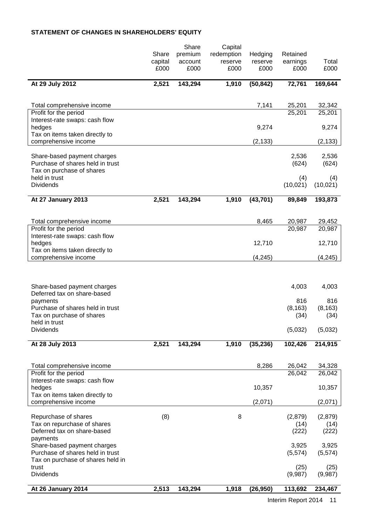# **STATEMENT OF CHANGES IN SHAREHOLDERS' EQUITY**

|                                                                            |                  | Share              | Capital               |                    |                      |                  |
|----------------------------------------------------------------------------|------------------|--------------------|-----------------------|--------------------|----------------------|------------------|
|                                                                            | Share<br>capital | premium<br>account | redemption<br>reserve | Hedging<br>reserve | Retained<br>earnings | Total            |
|                                                                            | £000             | £000               | £000                  | £000               | £000                 | £000             |
| At 29 July 2012                                                            | 2,521            | 143,294            | 1,910                 | (50, 842)          | 72,761               | 169,644          |
| Total comprehensive income                                                 |                  |                    |                       | 7,141              | 25,201               | 32,342           |
| Profit for the period                                                      |                  |                    |                       |                    | 25,201               | 25,201           |
| Interest-rate swaps: cash flow<br>hedges<br>Tax on items taken directly to |                  |                    |                       | 9,274              |                      | 9,274            |
| comprehensive income                                                       |                  |                    |                       | (2, 133)           |                      | (2, 133)         |
| Share-based payment charges<br>Purchase of shares held in trust            |                  |                    |                       |                    | 2,536<br>(624)       | 2,536<br>(624)   |
| Tax on purchase of shares<br>held in trust<br><b>Dividends</b>             |                  |                    |                       |                    | (4)<br>(10, 021)     | (4)<br>(10,021)  |
| At 27 January 2013                                                         | 2,521            | 143,294            | 1,910                 | (43, 701)          | 89,849               | 193,873          |
|                                                                            |                  |                    |                       |                    |                      |                  |
| Total comprehensive income                                                 |                  |                    |                       | 8,465              | 20,987               | 29,452           |
| Profit for the period                                                      |                  |                    |                       |                    | 20,987               | 20,987           |
| Interest-rate swaps: cash flow<br>hedges                                   |                  |                    |                       | 12,710             |                      | 12,710           |
| Tax on items taken directly to<br>comprehensive income                     |                  |                    |                       | (4, 245)           |                      | (4, 245)         |
|                                                                            |                  |                    |                       |                    |                      |                  |
| Share-based payment charges                                                |                  |                    |                       |                    | 4,003                | 4,003            |
| Deferred tax on share-based<br>payments                                    |                  |                    |                       |                    | 816                  | 816              |
| Purchase of shares held in trust                                           |                  |                    |                       |                    | (8, 163)             | (8, 163)         |
| Tax on purchase of shares<br>held in trust                                 |                  |                    |                       |                    | (34)                 | (34)             |
| <b>Dividends</b>                                                           |                  |                    |                       |                    | (5,032)              | (5,032)          |
| At 28 July 2013                                                            | 2,521            | 143,294            | 1,910                 | (35, 236)          | 102,426              | 214,915          |
|                                                                            |                  |                    |                       |                    |                      |                  |
| Total comprehensive income<br>Profit for the period                        |                  |                    |                       | 8,286              | 26,042<br>26,042     | 34,328<br>26,042 |
| Interest-rate swaps: cash flow<br>hedges                                   |                  |                    |                       | 10,357             |                      | 10,357           |
| Tax on items taken directly to<br>comprehensive income                     |                  |                    |                       | (2,071)            |                      | (2,071)          |
|                                                                            |                  |                    |                       |                    |                      |                  |
| Repurchase of shares<br>Tax on repurchase of shares                        | (8)              |                    | 8                     |                    | (2,879)<br>(14)      | (2,879)<br>(14)  |
| Deferred tax on share-based                                                |                  |                    |                       |                    | (222)                | (222)            |
| payments<br>Share-based payment charges                                    |                  |                    |                       |                    | 3,925                | 3,925            |
| Purchase of shares held in trust                                           |                  |                    |                       |                    | (5, 574)             | (5,574)          |
| Tax on purchase of shares held in<br>trust                                 |                  |                    |                       |                    | (25)                 | (25)             |
| <b>Dividends</b>                                                           |                  |                    |                       |                    | (9,987)              | (9,987)          |
| At 26 January 2014                                                         | 2,513            | 143,294            | 1,918                 | (26, 950)          | 113,692              | 234,467          |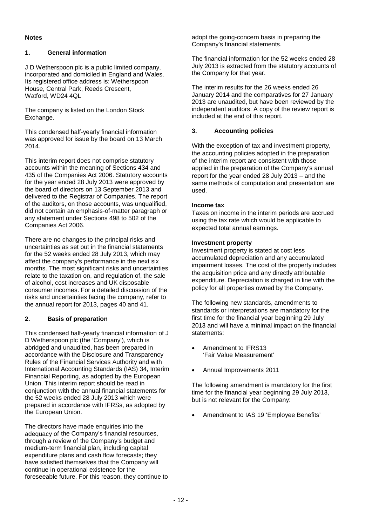#### **Notes**

#### **1. General information**

J D Wetherspoon plc is a public limited company, incorporated and domiciled in England and Wales. Its registered office address is: Wetherspoon House, Central Park, Reeds Crescent, Watford, WD24 4QL

The company is listed on the London Stock Exchange.

This condensed half-yearly financial information was approved for issue by the board on 13 March 2014.

This interim report does not comprise statutory accounts within the meaning of Sections 434 and 435 of the Companies Act 2006. Statutory accounts for the year ended 28 July 2013 were approved by the board of directors on 13 September 2013 and delivered to the Registrar of Companies. The report of the auditors, on those accounts, was unqualified, did not contain an emphasis-of-matter paragraph or any statement under Sections 498 to 502 of the Companies Act 2006.

There are no changes to the principal risks and uncertainties as set out in the financial statements for the 52 weeks ended 28 July 2013, which may affect the company's performance in the next six months. The most significant risks and uncertainties relate to the taxation on, and regulation of, the sale of alcohol, cost increases and UK disposable consumer incomes. For a detailed discussion of the risks and uncertainties facing the company, refer to the annual report for 2013, pages 40 and 41.

# **2. Basis of preparation**

This condensed half-yearly financial information of J D Wetherspoon plc (the 'Company'), which is abridged and unaudited, has been prepared in accordance with the Disclosure and Transparency Rules of the Financial Services Authority and with International Accounting Standards (IAS) 34, Interim Financial Reporting, as adopted by the European Union. This interim report should be read in conjunction with the annual financial statements for the 52 weeks ended 28 July 2013 which were prepared in accordance with IFRSs, as adopted by the European Union.

The directors have made enquiries into the adequacy of the Company's financial resources, through a review of the Company's budget and medium-term financial plan, including capital expenditure plans and cash flow forecasts; they have satisfied themselves that the Company will continue in operational existence for the foreseeable future. For this reason, they continue to adopt the going-concern basis in preparing the Company's financial statements.

The financial information for the 52 weeks ended 28 July 2013 is extracted from the statutory accounts of the Company for that year.

The interim results for the 26 weeks ended 26 January 2014 and the comparatives for 27 January 2013 are unaudited, but have been reviewed by the independent auditors. A copy of the review report is included at the end of this report.

## **3. Accounting policies**

With the exception of tax and investment property, the accounting policies adopted in the preparation of the interim report are consistent with those applied in the preparation of the Company's annual report for the year ended 28 July 2013 – and the same methods of computation and presentation are used.

#### **Income tax**

Taxes on income in the interim periods are accrued using the tax rate which would be applicable to expected total annual earnings.

#### **Investment property**

Investment property is stated at cost less accumulated depreciation and any accumulated impairment losses. The cost of the property includes the acquisition price and any directly attributable expenditure. Depreciation is charged in line with the policy for all properties owned by the Company.

The following new standards, amendments to standards or interpretations are mandatory for the first time for the financial year beginning 29 July 2013 and will have a minimal impact on the financial statements:

- Amendment to IFRS13 'Fair Value Measurement'
- Annual Improvements 2011

The following amendment is mandatory for the first time for the financial year beginning 29 July 2013, but is not relevant for the Company:

• Amendment to IAS 19 'Employee Benefits'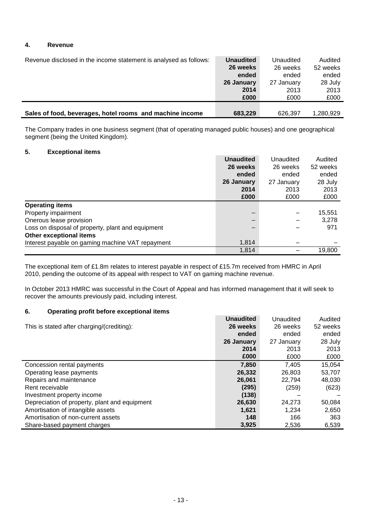#### **4. Revenue**

| Revenue disclosed in the income statement is analysed as follows: | <b>Unaudited</b> | Unaudited  | Audited   |
|-------------------------------------------------------------------|------------------|------------|-----------|
|                                                                   |                  |            |           |
|                                                                   | 26 weeks         | 26 weeks   | 52 weeks  |
|                                                                   | ended            | ended      | ended     |
|                                                                   | 26 January       | 27 January | 28 July   |
|                                                                   | 2014             | 2013       | 2013      |
|                                                                   | £000             | £000       | £000      |
|                                                                   |                  |            |           |
| Sales of food, beverages, hotel rooms and machine income          | 683,229          | 626.397    | 1.280.929 |

The Company trades in one business segment (that of operating managed public houses) and one geographical segment (being the United Kingdom).

#### **5. Exceptional items**

|                                                   | <b>Unaudited</b> | Unaudited  | Audited  |
|---------------------------------------------------|------------------|------------|----------|
|                                                   | 26 weeks         | 26 weeks   | 52 weeks |
|                                                   | ended            | ended      | ended    |
|                                                   | 26 January       | 27 January | 28 July  |
|                                                   | 2014             | 2013       | 2013     |
|                                                   | £000             | £000       | £000     |
| <b>Operating items</b>                            |                  |            |          |
| Property impairment                               | –                |            | 15,551   |
| Onerous lease provision                           |                  |            | 3,278    |
| Loss on disposal of property, plant and equipment |                  |            | 971      |
| Other exceptional items                           |                  |            |          |
| Interest payable on gaming machine VAT repayment  | 1,814            |            |          |
|                                                   | 1,814            |            | 19,800   |

The exceptional item of £1.8m relates to interest payable in respect of £15.7m received from HMRC in April 2010, pending the outcome of its appeal with respect to VAT on gaming machine revenue.

In October 2013 HMRC was successful in the Court of Appeal and has informed management that it will seek to recover the amounts previously paid, including interest.

## **6. Operating profit before exceptional items**

|                                               | <b>Unaudited</b> | Unaudited  | Audited  |
|-----------------------------------------------|------------------|------------|----------|
| This is stated after charging/(crediting):    | 26 weeks         | 26 weeks   | 52 weeks |
|                                               | ended            | ended      | ended    |
|                                               | 26 January       | 27 January | 28 July  |
|                                               | 2014             | 2013       | 2013     |
|                                               | £000             | £000       | £000     |
| Concession rental payments                    | 7,850            | 7,405      | 15,054   |
| Operating lease payments                      | 26,332           | 26,803     | 53,707   |
| Repairs and maintenance                       | 26,061           | 22,794     | 48,030   |
| Rent receivable                               | (295)            | (259)      | (623)    |
| Investment property income                    | (138)            |            |          |
| Depreciation of property, plant and equipment | 26,630           | 24.273     | 50,084   |
| Amortisation of intangible assets             | 1,621            | 1,234      | 2,650    |
| Amortisation of non-current assets            | 148              | 166        | 363      |
| Share-based payment charges                   | 3,925            | 2,536      | 6,539    |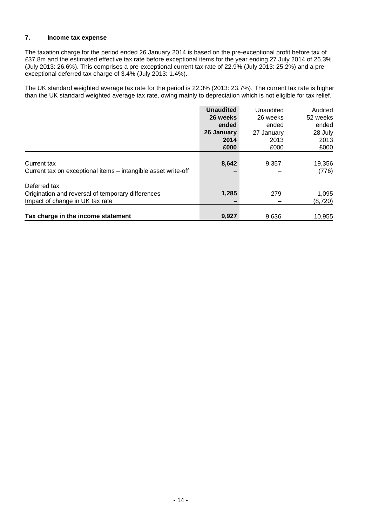# **7. Income tax expense**

The taxation charge for the period ended 26 January 2014 is based on the pre-exceptional profit before tax of £37.8m and the estimated effective tax rate before exceptional items for the year ending 27 July 2014 of 26.3% (July 2013: 26.6%). This comprises a pre-exceptional current tax rate of 22.9% (July 2013: 25.2%) and a preexceptional deferred tax charge of 3.4% (July 2013: 1.4%).

The UK standard weighted average tax rate for the period is 22.3% (2013: 23.7%). The current tax rate is higher than the UK standard weighted average tax rate, owing mainly to depreciation which is not eligible for tax relief.

|                                                               | <b>Unaudited</b><br>26 weeks | Unaudited<br>26 weeks | Audited<br>52 weeks |
|---------------------------------------------------------------|------------------------------|-----------------------|---------------------|
|                                                               | ended                        | ended                 | ended               |
|                                                               | 26 January                   | 27 January            | 28 July             |
|                                                               | 2014                         | 2013                  | 2013                |
|                                                               | £000                         | £000                  | £000                |
|                                                               |                              |                       |                     |
| Current tax                                                   | 8,642                        | 9,357                 | 19,356              |
| Current tax on exceptional items - intangible asset write-off |                              |                       | (776)               |
| Deferred tax                                                  |                              |                       |                     |
| Origination and reversal of temporary differences             | 1,285                        | 279                   | 1,095               |
| Impact of change in UK tax rate                               |                              |                       | (8,720)             |
|                                                               |                              |                       |                     |
| Tax charge in the income statement                            | 9.927                        | 9.636                 | 10,955              |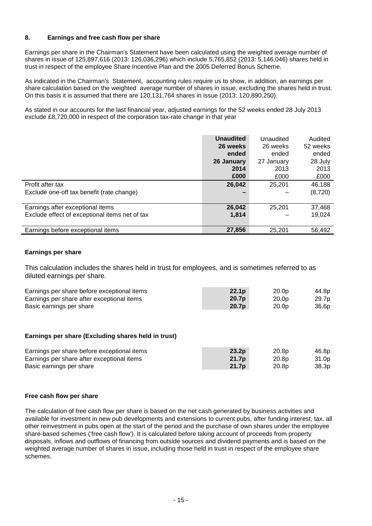#### **8. Earnings and free cash flow per share**

Earnings per share in the Chairman's Statement have been calculated using the weighted average number of shares in issue of 125,897,616 (2013: 126,036,296) which include 5,765,852 (2013: 5,146,046) shares held in trust in respect of the employee Share Incentive Plan and the 2005 Deferred Bonus Scheme.

As indicated in the Chairman's Statement, accounting rules require us to show, in addition, an earnings per share calculation based on the weighted average number of shares in issue, excluding the shares held in trust. On this basis it is assumed that there are 120,131,764 shares in issue (2013: 120,890,250).

As stated in our accounts for the last financial year, adjusted earnings for the 52 weeks ended 28 July 2013 exclude £8,720,000 in respect of the corporation tax-rate change in that year

|                                                | <b>Unaudited</b> | Unaudited  | Audited  |
|------------------------------------------------|------------------|------------|----------|
|                                                | 26 weeks         | 26 weeks   | 52 weeks |
|                                                | ended            | ended      | ended    |
|                                                | 26 January       | 27 January | 28 July  |
|                                                | 2014             | 2013       | 2013     |
|                                                | £000             | £000       | £000     |
| Profit after tax                               | 26,042           | 25,201     | 46,188   |
| Exclude one-off tax benefit (rate change)      |                  |            | (8,720)  |
|                                                |                  |            |          |
| Earnings after exceptional items               | 26,042           | 25.201     | 37,468   |
| Exclude effect of exceptional items net of tax | 1,814            |            | 19,024   |
|                                                |                  |            |          |
| Earnings before exceptional items              | 27,856           | 25,201     | 56,492   |

#### **Earnings per share**

This calculation includes the shares held in trust for employees, and is sometimes referred to as diluted earnings per share.

| Earnings per share before exceptional items | 22.1 <sub>p</sub> | 20.0p             | 44.8p |
|---------------------------------------------|-------------------|-------------------|-------|
| Earnings per share after exceptional items  | 20.7 <sub>p</sub> | 20.0 <sub>p</sub> | 29.7p |
| Basic earnings per share                    | 20.7p             | 20.0 <sub>p</sub> | 36.6p |

#### **Earnings per share (Excluding shares held in trust)**

| Earnings per share before exceptional items | 23.2 <sub>D</sub> | 20.8p             | 46.8p             |
|---------------------------------------------|-------------------|-------------------|-------------------|
| Earnings per share after exceptional items  | 21.7 <sub>p</sub> | 20.8 <sub>p</sub> | 31.0 <sub>p</sub> |
| Basic earnings per share                    | 21.7 <sub>p</sub> | 20.8 <sub>p</sub> | 38.3p             |

#### **Free cash flow per share**

The calculation of free cash flow per share is based on the net cash generated by business activities and available for investment in new pub developments and extensions to current pubs, after funding interest, tax, all other reinvestment in pubs open at the start of the period and the purchase of own shares under the employee share-based schemes ('free cash flow'). It is calculated before taking account of proceeds from property disposals, inflows and outflows of financing from outside sources and dividend payments and is based on the weighted average number of shares in issue, including those held in trust in respect of the employee share schemes.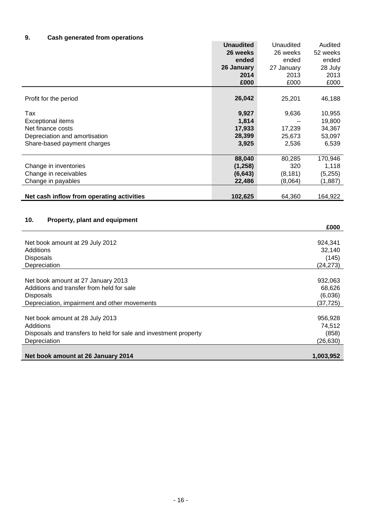# **9. Cash generated from operations**

|                                                                  | <b>Unaudited</b> | Unaudited  | Audited   |
|------------------------------------------------------------------|------------------|------------|-----------|
|                                                                  | 26 weeks         | 26 weeks   | 52 weeks  |
|                                                                  | ended            | ended      | ended     |
|                                                                  | 26 January       | 27 January | 28 July   |
|                                                                  | 2014             | 2013       | 2013      |
|                                                                  | £000             | £000       | £000      |
|                                                                  |                  |            |           |
| Profit for the period                                            | 26,042           | 25,201     | 46,188    |
|                                                                  |                  |            |           |
| Tax                                                              | 9,927            | 9,636      | 10,955    |
| <b>Exceptional items</b>                                         | 1,814            |            | 19,800    |
| Net finance costs                                                | 17,933           | 17,239     | 34,367    |
| Depreciation and amortisation                                    | 28,399           | 25,673     | 53,097    |
| Share-based payment charges                                      | 3,925            | 2,536      | 6,539     |
|                                                                  |                  |            |           |
|                                                                  | 88,040           | 80,285     | 170,946   |
| Change in inventories                                            | (1, 258)         | 320        | 1,118     |
| Change in receivables                                            | (6, 643)         | (8, 181)   | (5,255)   |
| Change in payables                                               | 22,486           | (8,064)    | (1,887)   |
|                                                                  |                  |            |           |
| Net cash inflow from operating activities                        | 102,625          | 64,360     | 164,922   |
|                                                                  |                  |            |           |
|                                                                  |                  |            |           |
| 10.<br>Property, plant and equipment                             |                  |            |           |
|                                                                  |                  |            | £000      |
|                                                                  |                  |            |           |
| Net book amount at 29 July 2012                                  |                  |            | 924,341   |
| Additions                                                        |                  |            | 32,140    |
| <b>Disposals</b>                                                 |                  |            | (145)     |
| Depreciation                                                     |                  |            | (24, 273) |
|                                                                  |                  |            |           |
| Net book amount at 27 January 2013                               |                  |            | 932,063   |
| Additions and transfer from held for sale                        |                  |            | 68,626    |
| <b>Disposals</b>                                                 |                  |            | (6,036)   |
| Depreciation, impairment and other movements                     |                  |            | (37, 725) |
|                                                                  |                  |            |           |
| Net book amount at 28 July 2013                                  |                  |            | 956,928   |
| Additions                                                        |                  |            | 74,512    |
| Disposals and transfers to held for sale and investment property |                  |            | (858)     |
| Depreciation                                                     |                  |            | (26, 630) |
|                                                                  |                  |            |           |
| Net book amount at 26 January 2014                               |                  |            | 1,003,952 |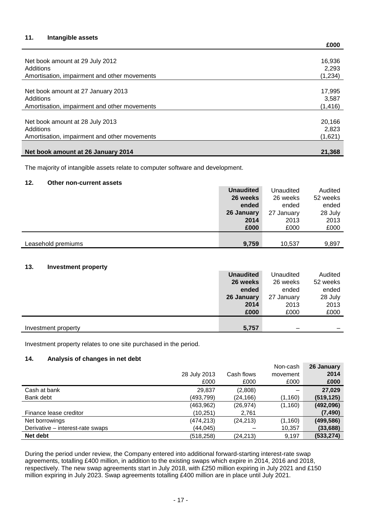## **11. Intangible assets**

|                                              | £000     |
|----------------------------------------------|----------|
|                                              |          |
| Net book amount at 29 July 2012              | 16,936   |
| Additions                                    | 2.293    |
| Amortisation, impairment and other movements | (1,234)  |
|                                              |          |
| Net book amount at 27 January 2013           | 17,995   |
| Additions                                    | 3.587    |
| Amortisation, impairment and other movements | (1, 416) |
|                                              |          |
| Net book amount at 28 July 2013              | 20.166   |
| Additions                                    | 2,823    |
| Amortisation, impairment and other movements | (1,621)  |
|                                              |          |
| Net book amount at 26 January 2014           | 21.368   |

The majority of intangible assets relate to computer software and development.

#### **12. Other non-current assets**

|                    | <b>Unaudited</b> | Unaudited  | Audited  |
|--------------------|------------------|------------|----------|
|                    | 26 weeks         | 26 weeks   | 52 weeks |
|                    | ended            | ended      | ended    |
|                    | 26 January       | 27 January | 28 July  |
|                    | 2014             | 2013       | 2013     |
|                    | £000             | £000       | £000     |
|                    |                  |            |          |
| Leasehold premiums | 9,759            | 10,537     | 9,897    |
|                    |                  |            |          |

#### **13. Investment property**

|                     | <b>Unaudited</b> | Unaudited  | Audited  |
|---------------------|------------------|------------|----------|
|                     | 26 weeks         | 26 weeks   | 52 weeks |
|                     | ended            | ended      | ended    |
|                     | 26 January       | 27 January | 28 July  |
|                     | 2014             | 2013       | 2013     |
|                     | £000             | £000       | £000     |
|                     |                  |            |          |
| Investment property | 5,757            |            |          |

Investment property relates to one site purchased in the period.

#### **14. Analysis of changes in net debt**

|                                  | 28 July 2013<br>£000 | Cash flows<br>£000 | Non-cash<br>movement<br>£000 | 26 January<br>2014<br>£000 |
|----------------------------------|----------------------|--------------------|------------------------------|----------------------------|
| Cash at bank                     | 29,837               | (2,808)            | —                            | 27,029                     |
| Bank debt                        | (493,799)            | (24, 166)          | (1,160)                      | (519, 125)                 |
|                                  | (463, 962)           | (26, 974)          | (1, 160)                     | (492,096)                  |
| Finance lease creditor           | (10,251)             | 2,761              |                              | (7, 490)                   |
| Net borrowings                   | (474, 213)           | (24, 213)          | (1, 160)                     | (499, 586)                 |
| Derivative - interest-rate swaps | (44, 045)            |                    | 10,357                       | (33, 688)                  |
| Net debt                         | (518, 258)           | (24, 213)          | 9,197                        | (533, 274)                 |

During the period under review, the Company entered into additional forward-starting interest-rate swap agreements, totalling £400 million, in addition to the existing swaps which expire in 2014, 2016 and 2018, respectively. The new swap agreements start in July 2018, with £250 million expiring in July 2021 and £150 million expiring in July 2023. Swap agreements totalling £400 million are in place until July 2021.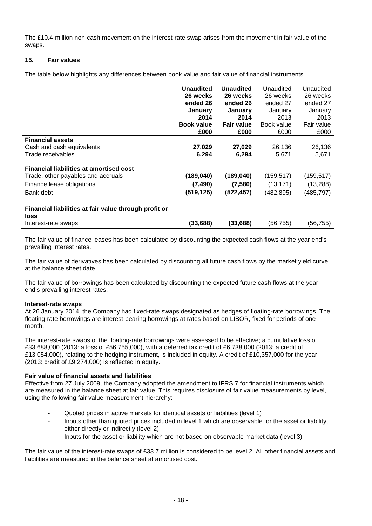The £10.4-million non-cash movement on the interest-rate swap arises from the movement in fair value of the swaps.

#### **15. Fair values**

The table below highlights any differences between book value and fair value of financial instruments.

|                                                                      | <b>Unaudited</b>  | <b>Unaudited</b>  | Unaudited  | Unaudited  |
|----------------------------------------------------------------------|-------------------|-------------------|------------|------------|
|                                                                      | 26 weeks          | 26 weeks          | 26 weeks   | 26 weeks   |
|                                                                      | ended 26          | ended 26          | ended 27   | ended 27   |
|                                                                      | January           | January           | January    | January    |
|                                                                      | 2014              | 2014              | 2013       | 2013       |
|                                                                      | <b>Book value</b> | <b>Fair value</b> | Book value | Fair value |
|                                                                      | £000              | £000              | £000       | £000       |
| <b>Financial assets</b>                                              |                   |                   |            |            |
| Cash and cash equivalents                                            | 27,029            | 27,029            | 26,136     | 26,136     |
| Trade receivables                                                    | 6,294             | 6,294             | 5,671      | 5,671      |
| <b>Financial liabilities at amortised cost</b>                       |                   |                   |            |            |
| Trade, other payables and accruals                                   | (189, 040)        | (189, 040)        | (159, 517) | (159, 517) |
| Finance lease obligations                                            | (7, 490)          | (7,580)           | (13, 171)  | (13,288)   |
| Bank debt                                                            | (519, 125)        | (522, 457)        | (482, 895) | (485, 797) |
| Financial liabilities at fair value through profit or<br><b>loss</b> |                   |                   |            |            |
| Interest-rate swaps                                                  | (33, 688)         | (33, 688)         | (56, 755)  | (56,755)   |

The fair value of finance leases has been calculated by discounting the expected cash flows at the year end's prevailing interest rates.

The fair value of derivatives has been calculated by discounting all future cash flows by the market yield curve at the balance sheet date.

The fair value of borrowings has been calculated by discounting the expected future cash flows at the year end's prevailing interest rates.

#### **Interest-rate swaps**

At 26 January 2014, the Company had fixed-rate swaps designated as hedges of floating-rate borrowings. The floating-rate borrowings are interest-bearing borrowings at rates based on LIBOR, fixed for periods of one month.

The interest-rate swaps of the floating-rate borrowings were assessed to be effective; a cumulative loss of £33,688,000 (2013: a loss of £56,755,000), with a deferred tax credit of £6,738,000 (2013: a credit of £13,054,000), relating to the hedging instrument, is included in equity. A credit of £10,357,000 for the year (2013: credit of £9,274,000) is reflected in equity.

#### **Fair value of financial assets and liabilities**

Effective from 27 July 2009, the Company adopted the amendment to IFRS 7 for financial instruments which are measured in the balance sheet at fair value. This requires disclosure of fair value measurements by level, using the following fair value measurement hierarchy:

- Quoted prices in active markets for identical assets or liabilities (level 1)
- Inputs other than quoted prices included in level 1 which are observable for the asset or liability, either directly or indirectly (level 2)
- Inputs for the asset or liability which are not based on observable market data (level 3)

The fair value of the interest-rate swaps of £33.7 million is considered to be level 2. All other financial assets and liabilities are measured in the balance sheet at amortised cost.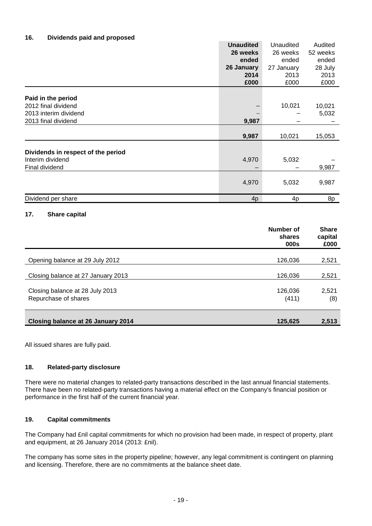#### **16. Dividends paid and proposed**

|                                    | <b>Unaudited</b> | Unaudited  | Audited  |
|------------------------------------|------------------|------------|----------|
|                                    | 26 weeks         | 26 weeks   | 52 weeks |
|                                    | ended            | ended      | ended    |
|                                    | 26 January       | 27 January | 28 July  |
|                                    | 2014             | 2013       | 2013     |
|                                    | £000             | £000       | £000     |
|                                    |                  |            |          |
| Paid in the period                 |                  |            |          |
| 2012 final dividend                |                  | 10,021     | 10,021   |
| 2013 interim dividend              |                  |            | 5,032    |
| 2013 final dividend                | 9,987            |            |          |
|                                    |                  |            |          |
|                                    | 9,987            | 10,021     | 15,053   |
|                                    |                  |            |          |
| Dividends in respect of the period |                  |            |          |
| Interim dividend                   | 4,970            | 5,032      |          |
| Final dividend                     |                  |            | 9,987    |
|                                    |                  |            |          |
|                                    | 4,970            | 5,032      | 9,987    |
|                                    |                  |            |          |
| Dividend per share                 | 4 <sub>p</sub>   | 4p         | 8p       |

#### **17. Share capital**

|                                                         | Number of<br>shares<br>000s | <b>Share</b><br>capital<br>£000 |
|---------------------------------------------------------|-----------------------------|---------------------------------|
| Opening balance at 29 July 2012                         | 126,036                     | 2,521                           |
| Closing balance at 27 January 2013                      | 126,036                     | 2,521                           |
| Closing balance at 28 July 2013<br>Repurchase of shares | 126,036<br>(411)            | 2,521<br>(8)                    |
| Closing balance at 26 January 2014                      | 125,625                     | 2,513                           |

All issued shares are fully paid.

#### **18. Related-party disclosure**

There were no material changes to related-party transactions described in the last annual financial statements. There have been no related-party transactions having a material effect on the Company's financial position or performance in the first half of the current financial year.

#### **19. Capital commitments**

The Company had £nil capital commitments for which no provision had been made, in respect of property, plant and equipment, at 26 January 2014 (2013: £nil).

The company has some sites in the property pipeline; however, any legal commitment is contingent on planning and licensing. Therefore, there are no commitments at the balance sheet date.